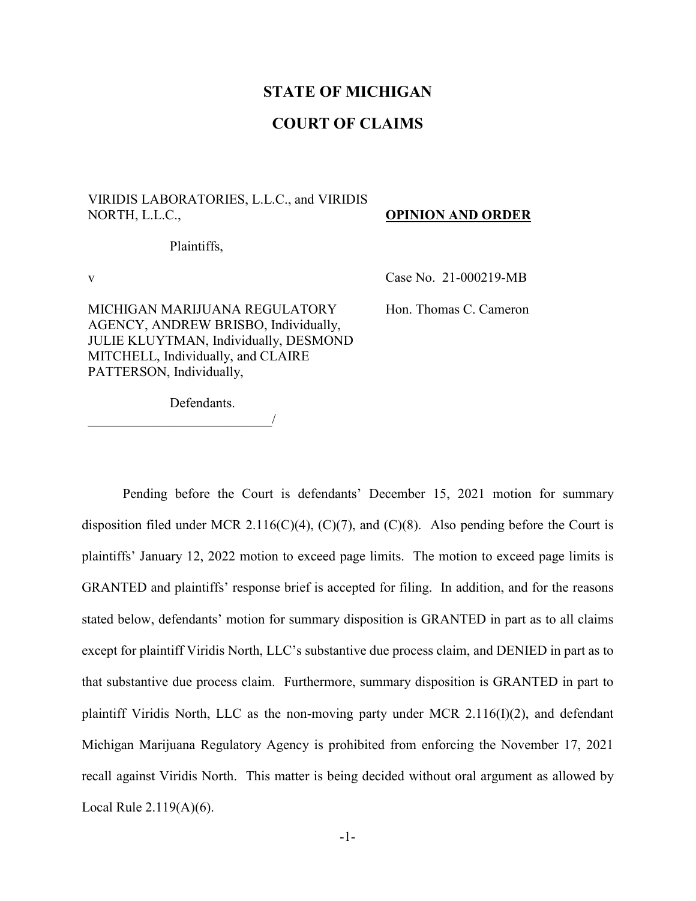# **STATE OF MICHIGAN**

# **COURT OF CLAIMS**

## VIRIDIS LABORATORIES, L.L.C., and VIRIDIS NORTH, L.L.C.,

#### **OPINION AND ORDER**

Plaintiffs,

MICHIGAN MARIJUANA REGULATORY AGENCY, ANDREW BRISBO, Individually, JULIE KLUYTMAN, Individually, DESMOND MITCHELL, Individually, and CLAIRE PATTERSON, Individually,

v Case No. 21-000219-MB

Hon. Thomas C. Cameron

Defendants.

 $\overline{\phantom{a}}$ 

Pending before the Court is defendants' December 15, 2021 motion for summary disposition filed under MCR 2.116(C)(4), (C)(7), and (C)(8). Also pending before the Court is plaintiffs' January 12, 2022 motion to exceed page limits. The motion to exceed page limits is GRANTED and plaintiffs' response brief is accepted for filing. In addition, and for the reasons stated below, defendants' motion for summary disposition is GRANTED in part as to all claims except for plaintiff Viridis North, LLC's substantive due process claim, and DENIED in part as to that substantive due process claim. Furthermore, summary disposition is GRANTED in part to plaintiff Viridis North, LLC as the non-moving party under MCR 2.116(I)(2), and defendant Michigan Marijuana Regulatory Agency is prohibited from enforcing the November 17, 2021 recall against Viridis North. This matter is being decided without oral argument as allowed by Local Rule 2.119(A)(6).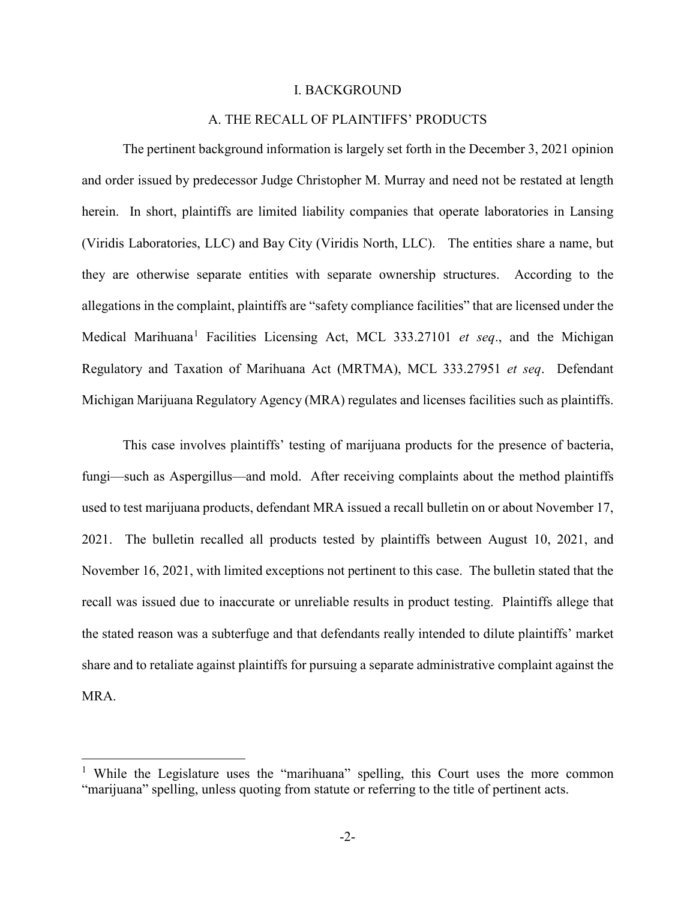#### I. BACKGROUND

## A. THE RECALL OF PLAINTIFFS' PRODUCTS

The pertinent background information is largely set forth in the December 3, 2021 opinion and order issued by predecessor Judge Christopher M. Murray and need not be restated at length herein. In short, plaintiffs are limited liability companies that operate laboratories in Lansing (Viridis Laboratories, LLC) and Bay City (Viridis North, LLC). The entities share a name, but they are otherwise separate entities with separate ownership structures. According to the allegations in the complaint, plaintiffs are "safety compliance facilities" that are licensed under the Medical Marihuana<sup>[1](#page-1-0)</sup> Facilities Licensing Act, MCL 333.27101 *et seq.*, and the Michigan Regulatory and Taxation of Marihuana Act (MRTMA), MCL 333.27951 *et seq*. Defendant Michigan Marijuana Regulatory Agency (MRA) regulates and licenses facilities such as plaintiffs.

This case involves plaintiffs' testing of marijuana products for the presence of bacteria, fungi—such as Aspergillus—and mold. After receiving complaints about the method plaintiffs used to test marijuana products, defendant MRA issued a recall bulletin on or about November 17, 2021. The bulletin recalled all products tested by plaintiffs between August 10, 2021, and November 16, 2021, with limited exceptions not pertinent to this case. The bulletin stated that the recall was issued due to inaccurate or unreliable results in product testing. Plaintiffs allege that the stated reason was a subterfuge and that defendants really intended to dilute plaintiffs' market share and to retaliate against plaintiffs for pursuing a separate administrative complaint against the MRA.

<span id="page-1-0"></span><sup>&</sup>lt;sup>1</sup> While the Legislature uses the "marihuana" spelling, this Court uses the more common "marijuana" spelling, unless quoting from statute or referring to the title of pertinent acts.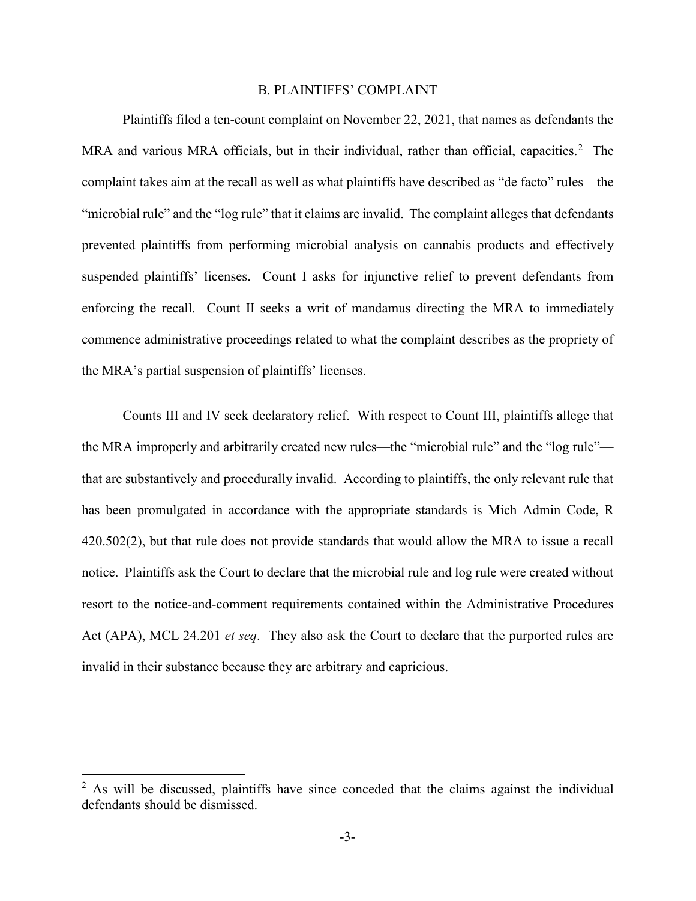### B. PLAINTIFFS' COMPLAINT

Plaintiffs filed a ten-count complaint on November 22, 2021, that names as defendants the MRA and various MRA officials, but in their individual, rather than official, capacities.<sup>[2](#page-2-0)</sup> The complaint takes aim at the recall as well as what plaintiffs have described as "de facto" rules—the "microbial rule" and the "log rule" that it claims are invalid. The complaint alleges that defendants prevented plaintiffs from performing microbial analysis on cannabis products and effectively suspended plaintiffs' licenses. Count I asks for injunctive relief to prevent defendants from enforcing the recall. Count II seeks a writ of mandamus directing the MRA to immediately commence administrative proceedings related to what the complaint describes as the propriety of the MRA's partial suspension of plaintiffs' licenses.

Counts III and IV seek declaratory relief. With respect to Count III, plaintiffs allege that the MRA improperly and arbitrarily created new rules—the "microbial rule" and the "log rule" that are substantively and procedurally invalid. According to plaintiffs, the only relevant rule that has been promulgated in accordance with the appropriate standards is Mich Admin Code, R 420.502(2), but that rule does not provide standards that would allow the MRA to issue a recall notice. Plaintiffs ask the Court to declare that the microbial rule and log rule were created without resort to the notice-and-comment requirements contained within the Administrative Procedures Act (APA), MCL 24.201 *et seq*. They also ask the Court to declare that the purported rules are invalid in their substance because they are arbitrary and capricious.

<span id="page-2-0"></span> $2$  As will be discussed, plaintiffs have since conceded that the claims against the individual defendants should be dismissed.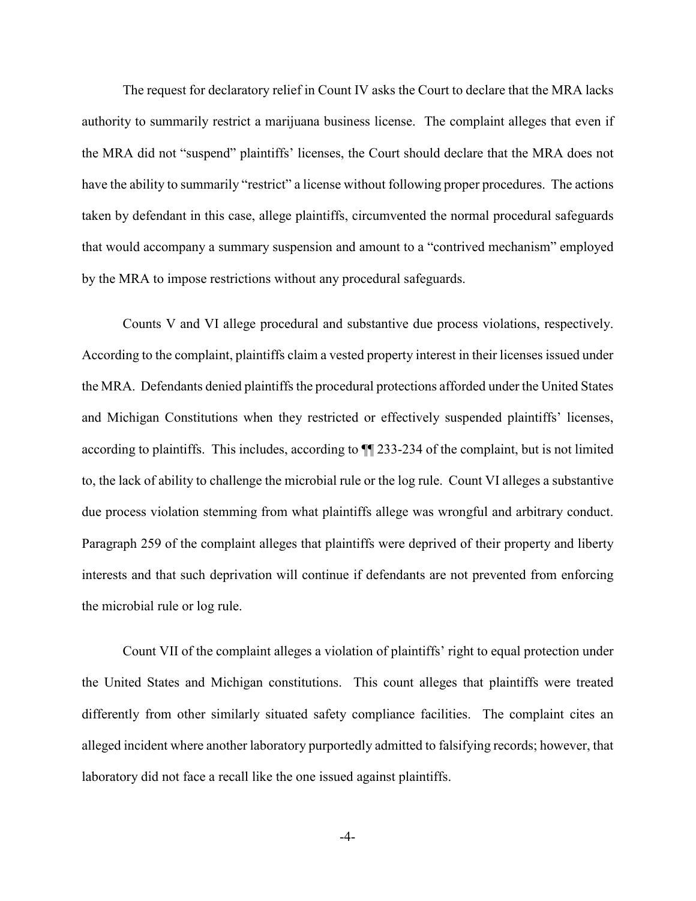The request for declaratory relief in Count IV asks the Court to declare that the MRA lacks authority to summarily restrict a marijuana business license. The complaint alleges that even if the MRA did not "suspend" plaintiffs' licenses, the Court should declare that the MRA does not have the ability to summarily "restrict" a license without following proper procedures. The actions taken by defendant in this case, allege plaintiffs, circumvented the normal procedural safeguards that would accompany a summary suspension and amount to a "contrived mechanism" employed by the MRA to impose restrictions without any procedural safeguards.

Counts V and VI allege procedural and substantive due process violations, respectively. According to the complaint, plaintiffs claim a vested property interest in their licenses issued under the MRA. Defendants denied plaintiffs the procedural protections afforded under the United States and Michigan Constitutions when they restricted or effectively suspended plaintiffs' licenses, according to plaintiffs. This includes, according to ¶¶ 233-234 of the complaint, but is not limited to, the lack of ability to challenge the microbial rule or the log rule. Count VI alleges a substantive due process violation stemming from what plaintiffs allege was wrongful and arbitrary conduct. Paragraph 259 of the complaint alleges that plaintiffs were deprived of their property and liberty interests and that such deprivation will continue if defendants are not prevented from enforcing the microbial rule or log rule.

Count VII of the complaint alleges a violation of plaintiffs' right to equal protection under the United States and Michigan constitutions. This count alleges that plaintiffs were treated differently from other similarly situated safety compliance facilities. The complaint cites an alleged incident where another laboratory purportedly admitted to falsifying records; however, that laboratory did not face a recall like the one issued against plaintiffs.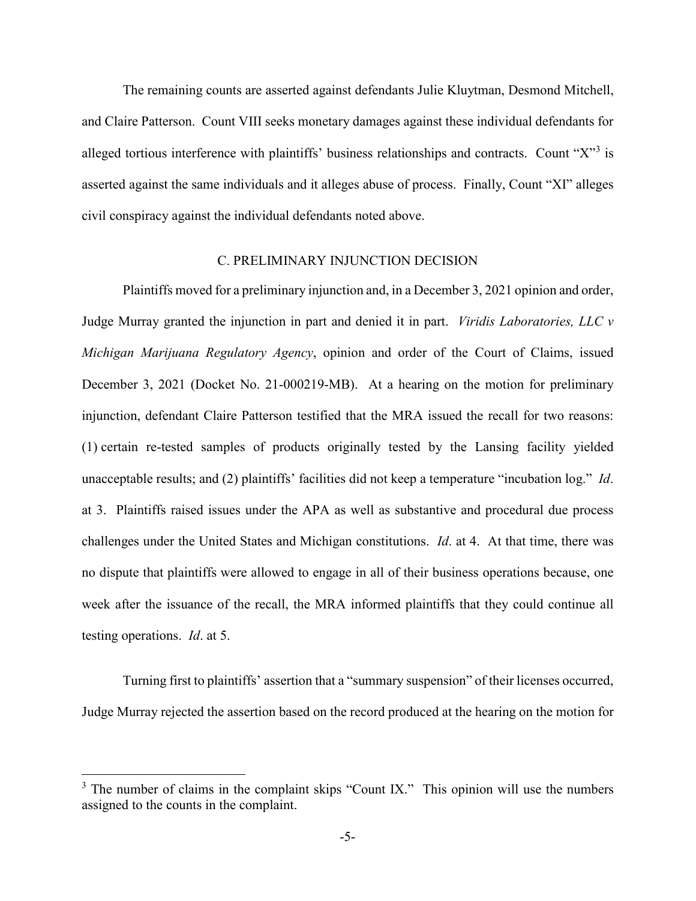The remaining counts are asserted against defendants Julie Kluytman, Desmond Mitchell, and Claire Patterson. Count VIII seeks monetary damages against these individual defendants for alleged tortious interference with plaintiffs' business relationships and contracts. Count "X"<sup>[3](#page-4-0)</sup> is asserted against the same individuals and it alleges abuse of process. Finally, Count "XI" alleges civil conspiracy against the individual defendants noted above.

## C. PRELIMINARY INJUNCTION DECISION

Plaintiffs moved for a preliminary injunction and, in a December 3, 2021 opinion and order, Judge Murray granted the injunction in part and denied it in part. *Viridis Laboratories, LLC v Michigan Marijuana Regulatory Agency*, opinion and order of the Court of Claims, issued December 3, 2021 (Docket No. 21-000219-MB). At a hearing on the motion for preliminary injunction, defendant Claire Patterson testified that the MRA issued the recall for two reasons: (1) certain re-tested samples of products originally tested by the Lansing facility yielded unacceptable results; and (2) plaintiffs' facilities did not keep a temperature "incubation log." *Id*. at 3. Plaintiffs raised issues under the APA as well as substantive and procedural due process challenges under the United States and Michigan constitutions. *Id*. at 4. At that time, there was no dispute that plaintiffs were allowed to engage in all of their business operations because, one week after the issuance of the recall, the MRA informed plaintiffs that they could continue all testing operations. *Id*. at 5.

Turning first to plaintiffs' assertion that a "summary suspension" of their licenses occurred, Judge Murray rejected the assertion based on the record produced at the hearing on the motion for

<span id="page-4-0"></span> $3$  The number of claims in the complaint skips "Count IX." This opinion will use the numbers assigned to the counts in the complaint.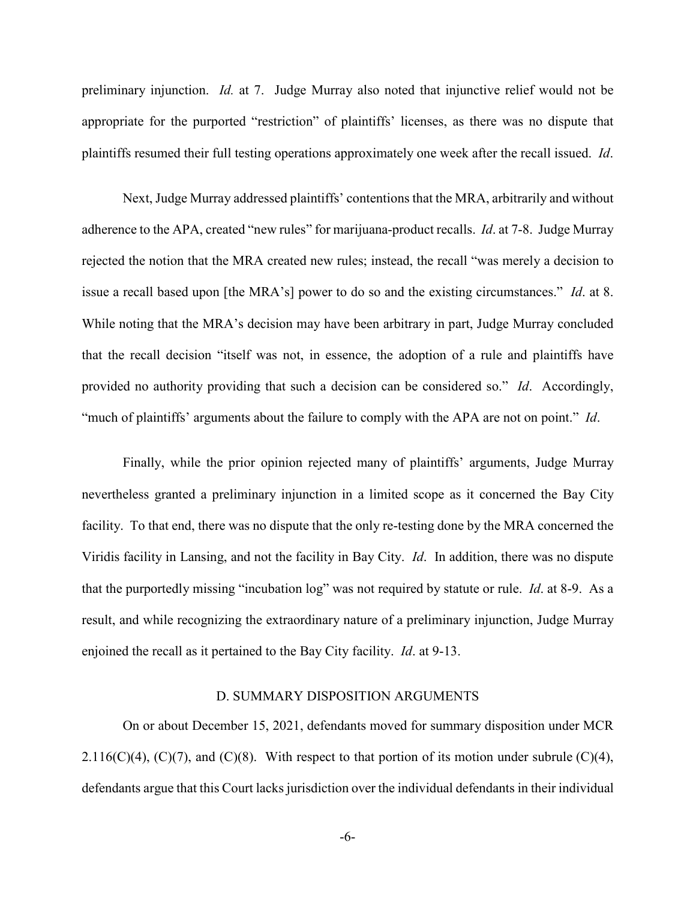preliminary injunction. *Id.* at 7. Judge Murray also noted that injunctive relief would not be appropriate for the purported "restriction" of plaintiffs' licenses, as there was no dispute that plaintiffs resumed their full testing operations approximately one week after the recall issued. *Id*.

Next, Judge Murray addressed plaintiffs' contentions that the MRA, arbitrarily and without adherence to the APA, created "new rules" for marijuana-product recalls. *Id*. at 7-8.Judge Murray rejected the notion that the MRA created new rules; instead, the recall "was merely a decision to issue a recall based upon [the MRA's] power to do so and the existing circumstances." *Id*. at 8. While noting that the MRA's decision may have been arbitrary in part, Judge Murray concluded that the recall decision "itself was not, in essence, the adoption of a rule and plaintiffs have provided no authority providing that such a decision can be considered so." *Id*. Accordingly, "much of plaintiffs' arguments about the failure to comply with the APA are not on point." *Id*.

Finally, while the prior opinion rejected many of plaintiffs' arguments, Judge Murray nevertheless granted a preliminary injunction in a limited scope as it concerned the Bay City facility. To that end, there was no dispute that the only re-testing done by the MRA concerned the Viridis facility in Lansing, and not the facility in Bay City. *Id*.In addition, there was no dispute that the purportedly missing "incubation log" was not required by statute or rule. *Id*. at 8-9. As a result, and while recognizing the extraordinary nature of a preliminary injunction, Judge Murray enjoined the recall as it pertained to the Bay City facility. *Id*. at 9-13.

# D. SUMMARY DISPOSITION ARGUMENTS

On or about December 15, 2021, defendants moved for summary disposition under MCR 2.116(C)(4), (C)(7), and (C)(8). With respect to that portion of its motion under subrule (C)(4), defendants argue that this Court lacks jurisdiction over the individual defendants in their individual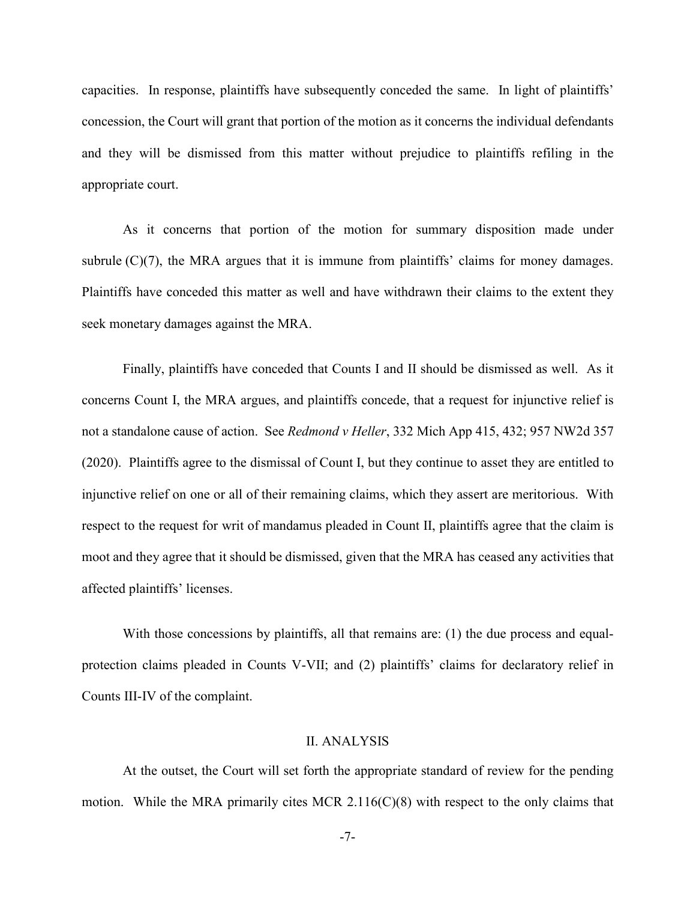capacities. In response, plaintiffs have subsequently conceded the same. In light of plaintiffs' concession, the Court will grant that portion of the motion as it concerns the individual defendants and they will be dismissed from this matter without prejudice to plaintiffs refiling in the appropriate court.

As it concerns that portion of the motion for summary disposition made under subrule  $(C)(7)$ , the MRA argues that it is immune from plaintiffs' claims for money damages. Plaintiffs have conceded this matter as well and have withdrawn their claims to the extent they seek monetary damages against the MRA.

Finally, plaintiffs have conceded that Counts I and II should be dismissed as well. As it concerns Count I, the MRA argues, and plaintiffs concede, that a request for injunctive relief is not a standalone cause of action. See *Redmond v Heller*, 332 Mich App 415, 432; 957 NW2d 357 (2020). Plaintiffs agree to the dismissal of Count I, but they continue to asset they are entitled to injunctive relief on one or all of their remaining claims, which they assert are meritorious. With respect to the request for writ of mandamus pleaded in Count II, plaintiffs agree that the claim is moot and they agree that it should be dismissed, given that the MRA has ceased any activities that affected plaintiffs' licenses.

With those concessions by plaintiffs, all that remains are: (1) the due process and equalprotection claims pleaded in Counts V-VII; and (2) plaintiffs' claims for declaratory relief in Counts III-IV of the complaint.

# II. ANALYSIS

At the outset, the Court will set forth the appropriate standard of review for the pending motion. While the MRA primarily cites MCR 2.116(C)(8) with respect to the only claims that

-7-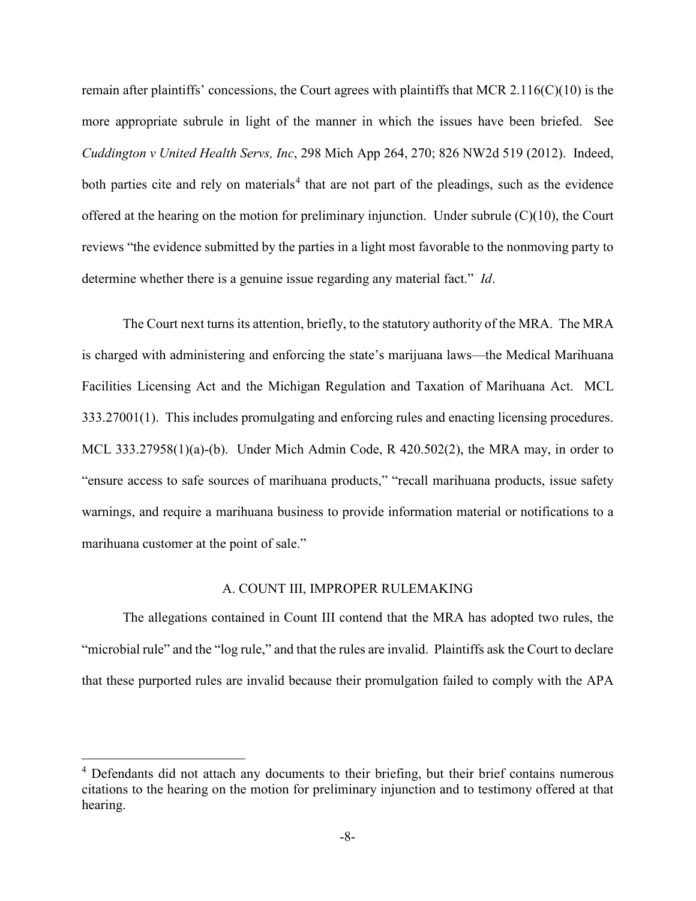remain after plaintiffs' concessions, the Court agrees with plaintiffs that MCR 2.116(C)(10) is the more appropriate subrule in light of the manner in which the issues have been briefed. See *Cuddington v United Health Servs, Inc*, 298 Mich App 264, 270; 826 NW2d 519 (2012). Indeed, both parties cite and rely on materials<sup>[4](#page-7-0)</sup> that are not part of the pleadings, such as the evidence offered at the hearing on the motion for preliminary injunction. Under subrule (C)(10), the Court reviews "the evidence submitted by the parties in a light most favorable to the nonmoving party to determine whether there is a genuine issue regarding any material fact." *Id*.

The Court next turns its attention, briefly, to the statutory authority of the MRA. The MRA is charged with administering and enforcing the state's marijuana laws—the Medical Marihuana Facilities Licensing Act and the Michigan Regulation and Taxation of Marihuana Act. MCL 333.27001(1). This includes promulgating and enforcing rules and enacting licensing procedures. MCL 333.27958(1)(a)-(b). Under Mich Admin Code, R 420.502(2), the MRA may, in order to "ensure access to safe sources of marihuana products," "recall marihuana products, issue safety warnings, and require a marihuana business to provide information material or notifications to a marihuana customer at the point of sale."

### A. COUNT III, IMPROPER RULEMAKING

The allegations contained in Count III contend that the MRA has adopted two rules, the "microbial rule" and the "log rule," and that the rules are invalid. Plaintiffs ask the Court to declare that these purported rules are invalid because their promulgation failed to comply with the APA

<span id="page-7-0"></span><sup>&</sup>lt;sup>4</sup> Defendants did not attach any documents to their briefing, but their brief contains numerous citations to the hearing on the motion for preliminary injunction and to testimony offered at that hearing.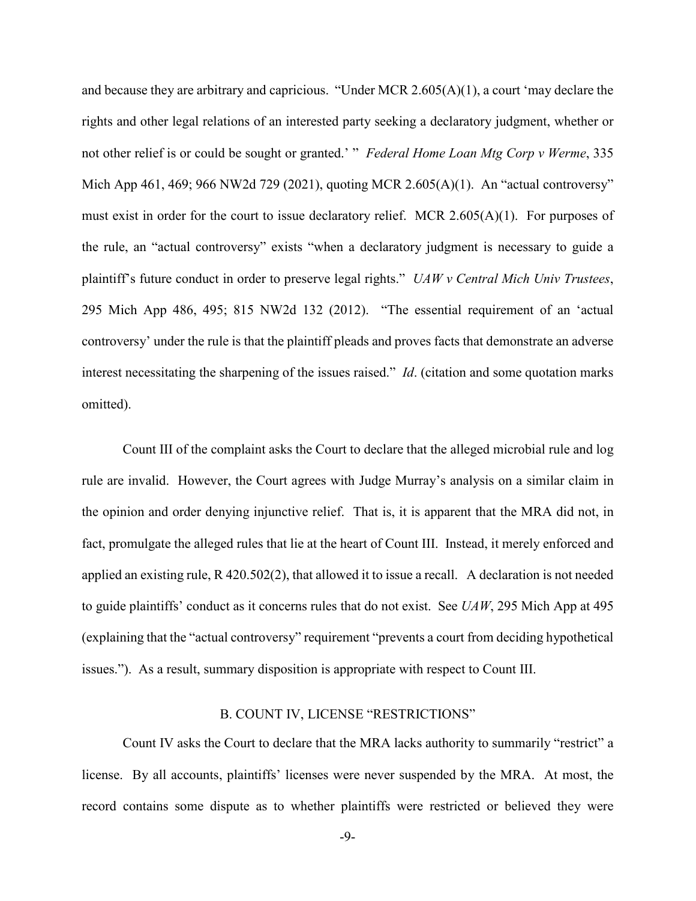and because they are arbitrary and capricious. "Under MCR 2.605(A)(1), a court 'may declare the rights and other legal relations of an interested party seeking a declaratory judgment, whether or not other relief is or could be sought or granted.' " *Federal Home Loan Mtg Corp v Werme*, 335 Mich App 461, 469; 966 NW2d 729 (2021), quoting MCR 2.605(A)(1). An "actual controversy" must exist in order for the court to issue declaratory relief. MCR 2.605(A)(1). For purposes of the rule, an "actual controversy" exists "when a declaratory judgment is necessary to guide a plaintiff's future conduct in order to preserve legal rights." *UAW v Central Mich Univ Trustees*, 295 Mich App 486, 495; 815 NW2d 132 (2012). "The essential requirement of an 'actual controversy' under the rule is that the plaintiff pleads and proves facts that demonstrate an adverse interest necessitating the sharpening of the issues raised." *Id*. (citation and some quotation marks omitted).

Count III of the complaint asks the Court to declare that the alleged microbial rule and log rule are invalid. However, the Court agrees with Judge Murray's analysis on a similar claim in the opinion and order denying injunctive relief. That is, it is apparent that the MRA did not, in fact, promulgate the alleged rules that lie at the heart of Count III. Instead, it merely enforced and applied an existing rule, R 420.502(2), that allowed it to issue a recall. A declaration is not needed to guide plaintiffs' conduct as it concerns rules that do not exist. See *UAW*, 295 Mich App at 495 (explaining that the "actual controversy" requirement "prevents a court from deciding hypothetical issues."). As a result, summary disposition is appropriate with respect to Count III.

## B. COUNT IV, LICENSE "RESTRICTIONS"

Count IV asks the Court to declare that the MRA lacks authority to summarily "restrict" a license. By all accounts, plaintiffs' licenses were never suspended by the MRA. At most, the record contains some dispute as to whether plaintiffs were restricted or believed they were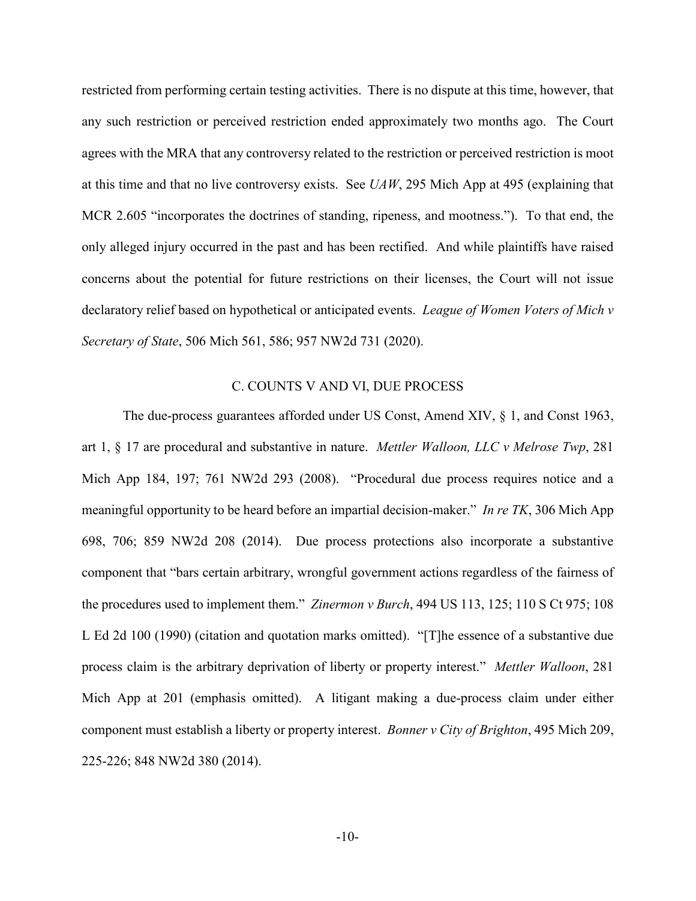restricted from performing certain testing activities. There is no dispute at this time, however, that any such restriction or perceived restriction ended approximately two months ago. The Court agrees with the MRA that any controversy related to the restriction or perceived restriction is moot at this time and that no live controversy exists. See *UAW*, 295 Mich App at 495 (explaining that MCR 2.605 "incorporates the doctrines of standing, ripeness, and mootness."). To that end, the only alleged injury occurred in the past and has been rectified. And while plaintiffs have raised concerns about the potential for future restrictions on their licenses, the Court will not issue declaratory relief based on hypothetical or anticipated events. *League of Women Voters of Mich v Secretary of State*, 506 Mich 561, 586; 957 NW2d 731 (2020).

### C. COUNTS V AND VI, DUE PROCESS

The due-process guarantees afforded under US Const, Amend XIV, § 1, and Const 1963, art 1, § 17 are procedural and substantive in nature. *Mettler Walloon, LLC v Melrose Twp*, 281 Mich App 184, 197; 761 NW2d 293 (2008). "Procedural due process requires notice and a meaningful opportunity to be heard before an impartial decision-maker." *In re TK*, 306 Mich App 698, 706; 859 NW2d 208 (2014). Due process protections also incorporate a substantive component that "bars certain arbitrary, wrongful government actions regardless of the fairness of the procedures used to implement them." *Zinermon v Burch*, 494 US 113, 125; 110 S Ct 975; 108 L Ed 2d 100 (1990) (citation and quotation marks omitted). "[T]he essence of a substantive due process claim is the arbitrary deprivation of liberty or property interest." *Mettler Walloon*, 281 Mich App at 201 (emphasis omitted). A litigant making a due-process claim under either component must establish a liberty or property interest. *Bonner v City of Brighton*, 495 Mich 209, 225-226; 848 NW2d 380 (2014).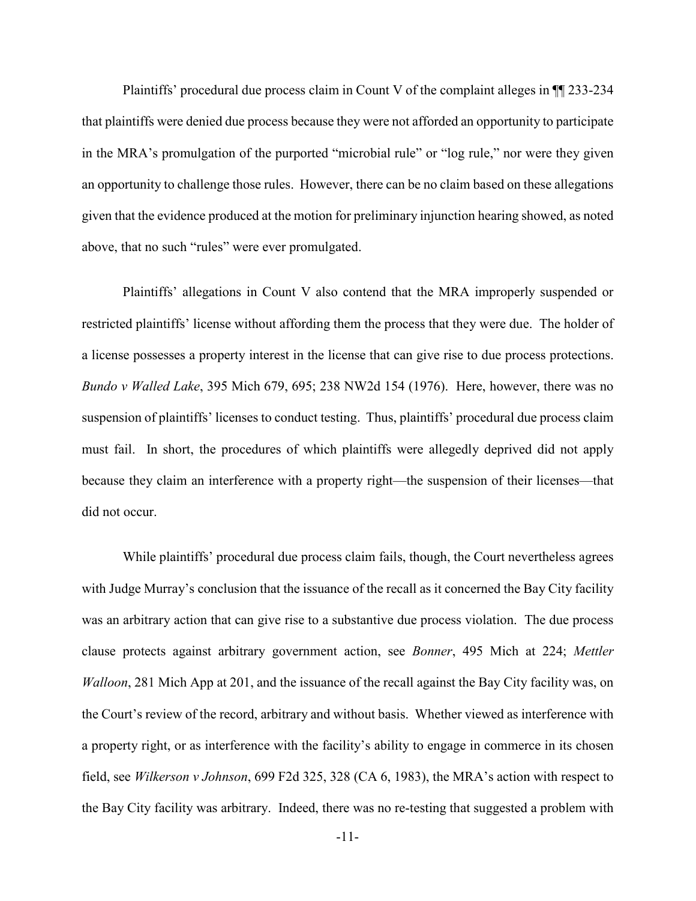Plaintiffs' procedural due process claim in Count V of the complaint alleges in ¶¶ 233-234 that plaintiffs were denied due process because they were not afforded an opportunity to participate in the MRA's promulgation of the purported "microbial rule" or "log rule," nor were they given an opportunity to challenge those rules. However, there can be no claim based on these allegations given that the evidence produced at the motion for preliminary injunction hearing showed, as noted above, that no such "rules" were ever promulgated.

Plaintiffs' allegations in Count V also contend that the MRA improperly suspended or restricted plaintiffs' license without affording them the process that they were due. The holder of a license possesses a property interest in the license that can give rise to due process protections. *Bundo v Walled Lake*, 395 Mich 679, 695; 238 NW2d 154 (1976). Here, however, there was no suspension of plaintiffs' licenses to conduct testing. Thus, plaintiffs' procedural due process claim must fail. In short, the procedures of which plaintiffs were allegedly deprived did not apply because they claim an interference with a property right—the suspension of their licenses—that did not occur.

While plaintiffs' procedural due process claim fails, though, the Court nevertheless agrees with Judge Murray's conclusion that the issuance of the recall as it concerned the Bay City facility was an arbitrary action that can give rise to a substantive due process violation. The due process clause protects against arbitrary government action, see *Bonner*, 495 Mich at 224; *Mettler Walloon*, 281 Mich App at 201, and the issuance of the recall against the Bay City facility was, on the Court's review of the record, arbitrary and without basis. Whether viewed as interference with a property right, or as interference with the facility's ability to engage in commerce in its chosen field, see *Wilkerson v Johnson*, 699 F2d 325, 328 (CA 6, 1983), the MRA's action with respect to the Bay City facility was arbitrary. Indeed, there was no re-testing that suggested a problem with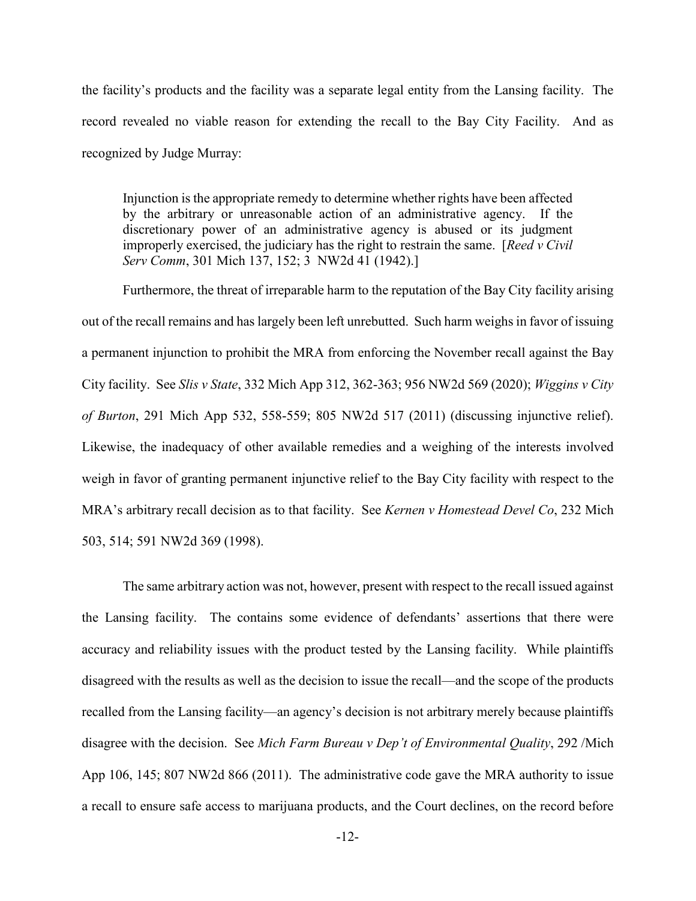the facility's products and the facility was a separate legal entity from the Lansing facility. The record revealed no viable reason for extending the recall to the Bay City Facility. And as recognized by Judge Murray:

Injunction is the appropriate remedy to determine whether rights have been affected by the arbitrary or unreasonable action of an administrative agency. If the discretionary power of an administrative agency is abused or its judgment improperly exercised, the judiciary has the right to restrain the same. [*Reed v Civil Serv Comm*, 301 Mich 137, 152; 3 NW2d 41 (1942).]

Furthermore, the threat of irreparable harm to the reputation of the Bay City facility arising out of the recall remains and has largely been left unrebutted. Such harm weighs in favor of issuing a permanent injunction to prohibit the MRA from enforcing the November recall against the Bay City facility. See *Slis v State*, 332 Mich App 312, 362-363; 956 NW2d 569 (2020); *Wiggins v City of Burton*, 291 Mich App 532, 558-559; 805 NW2d 517 (2011) (discussing injunctive relief). Likewise, the inadequacy of other available remedies and a weighing of the interests involved weigh in favor of granting permanent injunctive relief to the Bay City facility with respect to the MRA's arbitrary recall decision as to that facility. See *Kernen v Homestead Devel Co*, 232 Mich 503, 514; 591 NW2d 369 (1998).

The same arbitrary action was not, however, present with respect to the recall issued against the Lansing facility. The contains some evidence of defendants' assertions that there were accuracy and reliability issues with the product tested by the Lansing facility. While plaintiffs disagreed with the results as well as the decision to issue the recall—and the scope of the products recalled from the Lansing facility—an agency's decision is not arbitrary merely because plaintiffs disagree with the decision. See *Mich Farm Bureau v Dep't of Environmental Quality*, 292 /Mich App 106, 145; 807 NW2d 866 (2011). The administrative code gave the MRA authority to issue a recall to ensure safe access to marijuana products, and the Court declines, on the record before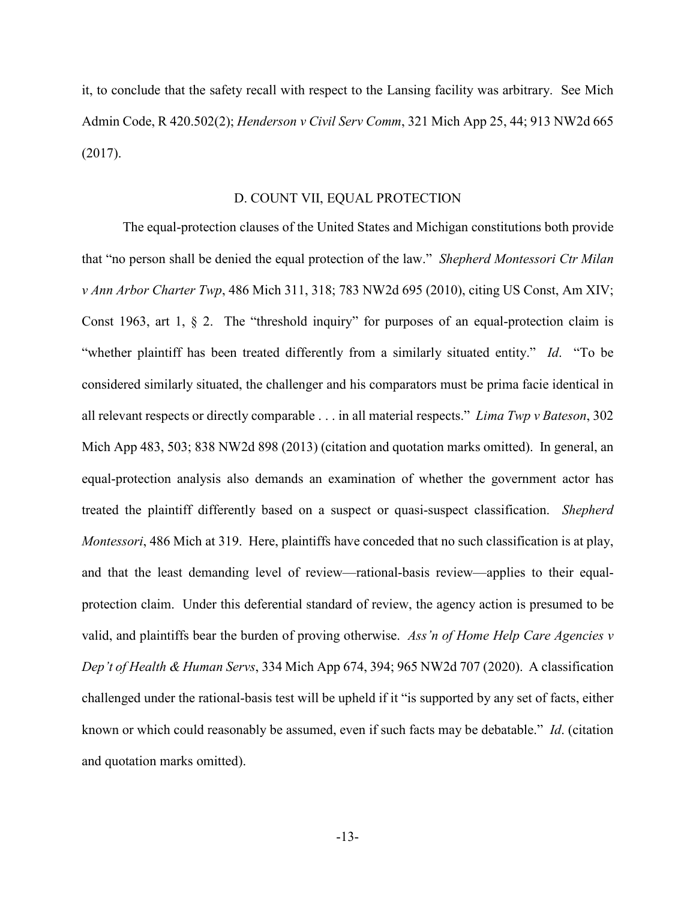it, to conclude that the safety recall with respect to the Lansing facility was arbitrary. See Mich Admin Code, R 420.502(2); *Henderson v Civil Serv Comm*, 321 Mich App 25, 44; 913 NW2d 665 (2017).

### D. COUNT VII, EQUAL PROTECTION

The equal-protection clauses of the United States and Michigan constitutions both provide that "no person shall be denied the equal protection of the law." *Shepherd Montessori Ctr Milan v Ann Arbor Charter Twp*, 486 Mich 311, 318; 783 NW2d 695 (2010), citing US Const, Am XIV; Const 1963, art 1,  $\S$  2. The "threshold inquiry" for purposes of an equal-protection claim is "whether plaintiff has been treated differently from a similarly situated entity." *Id*. "To be considered similarly situated, the challenger and his comparators must be prima facie identical in all relevant respects or directly comparable . . . in all material respects." *Lima Twp v Bateson*, 302 Mich App 483, 503; 838 NW2d 898 (2013) (citation and quotation marks omitted). In general, an equal-protection analysis also demands an examination of whether the government actor has treated the plaintiff differently based on a suspect or quasi-suspect classification. *Shepherd Montessori*, 486 Mich at 319. Here, plaintiffs have conceded that no such classification is at play, and that the least demanding level of review—rational-basis review—applies to their equalprotection claim. Under this deferential standard of review, the agency action is presumed to be valid, and plaintiffs bear the burden of proving otherwise. *Ass'n of Home Help Care Agencies v Dep't of Health & Human Servs*, 334 Mich App 674, 394; 965 NW2d 707 (2020). A classification challenged under the rational-basis test will be upheld if it "is supported by any set of facts, either known or which could reasonably be assumed, even if such facts may be debatable." *Id*. (citation and quotation marks omitted).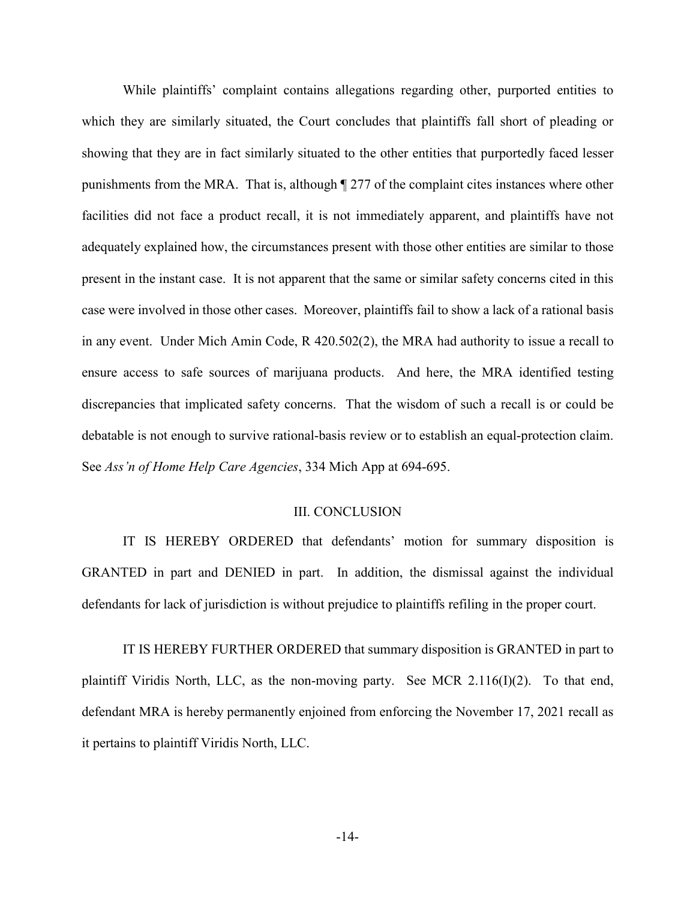While plaintiffs' complaint contains allegations regarding other, purported entities to which they are similarly situated, the Court concludes that plaintiffs fall short of pleading or showing that they are in fact similarly situated to the other entities that purportedly faced lesser punishments from the MRA. That is, although ¶ 277 of the complaint cites instances where other facilities did not face a product recall, it is not immediately apparent, and plaintiffs have not adequately explained how, the circumstances present with those other entities are similar to those present in the instant case. It is not apparent that the same or similar safety concerns cited in this case were involved in those other cases. Moreover, plaintiffs fail to show a lack of a rational basis in any event. Under Mich Amin Code, R 420.502(2), the MRA had authority to issue a recall to ensure access to safe sources of marijuana products. And here, the MRA identified testing discrepancies that implicated safety concerns. That the wisdom of such a recall is or could be debatable is not enough to survive rational-basis review or to establish an equal-protection claim. See *Ass'n of Home Help Care Agencies*, 334 Mich App at 694-695.

#### III. CONCLUSION

IT IS HEREBY ORDERED that defendants' motion for summary disposition is GRANTED in part and DENIED in part. In addition, the dismissal against the individual defendants for lack of jurisdiction is without prejudice to plaintiffs refiling in the proper court.

IT IS HEREBY FURTHER ORDERED that summary disposition is GRANTED in part to plaintiff Viridis North, LLC, as the non-moving party. See MCR 2.116(I)(2). To that end, defendant MRA is hereby permanently enjoined from enforcing the November 17, 2021 recall as it pertains to plaintiff Viridis North, LLC.